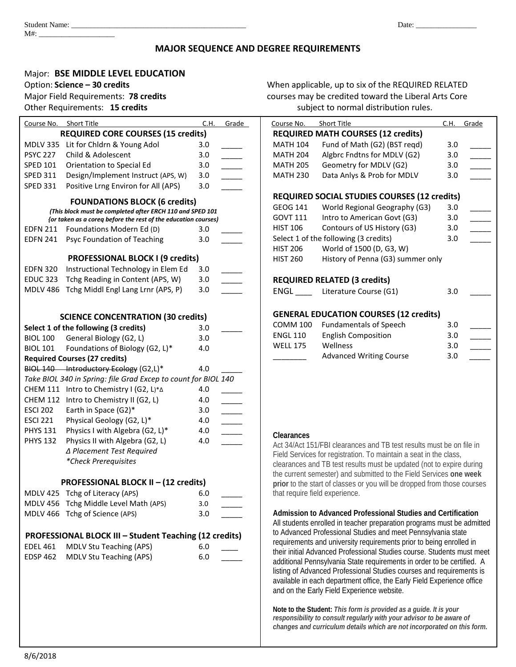# **MAJOR SEQUENCE AND DEGREE REQUIREMENTS**

# Major: **BSE MIDDLE LEVEL EDUCATION**

Option: **Science – 30 credits** When applicable, up to six of the REQUIRED RELATED Major Field Requirements: **78 credits** courses may be credited toward the Liberal Arts Core Other Requirements: **15 credits** subject to normal distribution rules.

| Course No. Short Title                                    |                                                                | C.H. | Grade                    | Course No.                                    | <b>Short Title</b>                                                                                                                         | C.H. | Grade |  |
|-----------------------------------------------------------|----------------------------------------------------------------|------|--------------------------|-----------------------------------------------|--------------------------------------------------------------------------------------------------------------------------------------------|------|-------|--|
| <b>REQUIRED CORE COURSES (15 credits)</b>                 |                                                                |      |                          |                                               | <b>REQUIRED MATH COURSES (12 credits)</b>                                                                                                  |      |       |  |
|                                                           | MDLV 335 Lit for Chldrn & Young Adol                           | 3.0  |                          | <b>MATH 104</b>                               | Fund of Math (G2) (BST regd)                                                                                                               | 3.0  |       |  |
| <b>PSYC 227</b>                                           | Child & Adolescent                                             | 3.0  |                          | <b>MATH 204</b>                               | Algbrc Fndtns for MDLV (G2)                                                                                                                | 3.0  |       |  |
| <b>SPED 101</b>                                           | Orientation to Special Ed                                      | 3.0  |                          | <b>MATH 205</b>                               | Geometry for MDLV (G2)                                                                                                                     | 3.0  |       |  |
| <b>SPED 311</b>                                           | Design/Implement Instruct (APS, W)                             | 3.0  |                          | <b>MATH 230</b>                               | Data Anlys & Prob for MDLV                                                                                                                 | 3.0  |       |  |
| <b>SPED 331</b>                                           | Positive Lrng Environ for All (APS)                            | 3.0  |                          |                                               |                                                                                                                                            |      |       |  |
|                                                           | <b>FOUNDATIONS BLOCK (6 credits)</b>                           |      |                          |                                               | <b>REQUIRED SOCIAL STUDIES COURSES (12 credits)</b>                                                                                        |      |       |  |
| (This block must be completed after ERCH 110 and SPED 101 |                                                                |      |                          | <b>GEOG 141</b>                               | World Regional Geography (G3)                                                                                                              | 3.0  |       |  |
|                                                           | {or taken as a coreq before the rest of the education courses) |      |                          | <b>GOVT 111</b>                               | Intro to American Govt (G3)                                                                                                                | 3.0  |       |  |
| <b>EDFN 211</b>                                           | Foundations Modern Ed (D)                                      | 3.0  |                          | <b>HIST 106</b>                               | Contours of US History (G3)                                                                                                                | 3.0  |       |  |
| <b>EDFN 241</b>                                           | Psyc Foundation of Teaching                                    | 3.0  |                          |                                               | Select 1 of the following (3 credits)                                                                                                      | 3.0  |       |  |
|                                                           |                                                                |      |                          | <b>HIST 206</b>                               | World of 1500 (D, G3, W)                                                                                                                   |      |       |  |
|                                                           | <b>PROFESSIONAL BLOCK I (9 credits)</b>                        |      |                          | <b>HIST 260</b>                               | History of Penna (G3) summer only                                                                                                          |      |       |  |
| <b>EDFN 320</b>                                           | Instructional Technology in Elem Ed                            | 3.0  |                          |                                               |                                                                                                                                            |      |       |  |
| <b>EDUC 323</b>                                           | Tchg Reading in Content (APS, W)                               | 3.0  |                          |                                               | <b>REQUIRED RELATED (3 credits)</b>                                                                                                        |      |       |  |
|                                                           | MDLV 486 Tchg Middl Engl Lang Lrnr (APS, P)                    | 3.0  |                          | ENGL                                          | Literature Course (G1)                                                                                                                     | 3.0  |       |  |
| <b>SCIENCE CONCENTRATION (30 credits)</b>                 |                                                                |      |                          | <b>GENERAL EDUCATION COURSES (12 credits)</b> |                                                                                                                                            |      |       |  |
|                                                           | Select 1 of the following (3 credits)                          | 3.0  |                          | <b>COMM 100</b>                               | <b>Fundamentals of Speech</b>                                                                                                              | 3.0  |       |  |
| <b>BIOL 100</b>                                           | General Biology (G2, L)                                        | 3.0  |                          | <b>ENGL 110</b>                               | <b>English Composition</b>                                                                                                                 | 3.0  |       |  |
| <b>BIOL 101</b>                                           | Foundations of Biology (G2, L)*                                | 4.0  |                          | <b>WELL 175</b>                               | Wellness                                                                                                                                   | 3.0  |       |  |
|                                                           | <b>Required Courses (27 credits)</b>                           |      |                          |                                               | <b>Advanced Writing Course</b>                                                                                                             | 3.0  |       |  |
|                                                           | BIOL 140 Introductory Ecology (G2,L)*                          | 4.0  |                          |                                               |                                                                                                                                            |      |       |  |
|                                                           | Take BIOL 340 in Spring: file Grad Excep to count for BIOL 140 |      |                          |                                               |                                                                                                                                            |      |       |  |
|                                                           | CHEM 111 Intro to Chemistry I (G2, L)*A                        | 4.0  |                          |                                               |                                                                                                                                            |      |       |  |
|                                                           | CHEM 112 Intro to Chemistry II (G2, L)                         | 4.0  | $\overline{\phantom{a}}$ |                                               |                                                                                                                                            |      |       |  |
| <b>ESCI 202</b>                                           | Earth in Space (G2)*                                           | 3.0  | $\overline{\phantom{a}}$ |                                               |                                                                                                                                            |      |       |  |
| <b>ESCI 221</b>                                           | Physical Geology (G2, L)*                                      | 4.0  | $\overline{\phantom{a}}$ |                                               |                                                                                                                                            |      |       |  |
| <b>PHYS 131</b>                                           | Physics I with Algebra (G2, L)*                                | 4.0  | $\overline{\phantom{a}}$ |                                               |                                                                                                                                            |      |       |  |
| <b>PHYS 132</b>                                           | Physics II with Algebra (G2, L)                                | 4.0  |                          | Clearances                                    |                                                                                                                                            |      |       |  |
|                                                           | ∆ Placement Test Required                                      |      |                          |                                               | Act 34/Act 151/FBI clearances and TB test results must be on file in                                                                       |      |       |  |
|                                                           | *Check Prerequisites                                           |      |                          |                                               | Field Services for registration. To maintain a seat in the class,                                                                          |      |       |  |
|                                                           |                                                                |      |                          |                                               | clearances and TB test results must be updated (not to expire during<br>the current semester) and submitted to the Field Services one week |      |       |  |
| PROFESSIONAL BLOCK II - (12 credits)                      |                                                                |      |                          |                                               | prior to the start of classes or you will be dropped from those course:                                                                    |      |       |  |
|                                                           | MDLV 425 Tchg of Literacy (APS)                                | 6.0  |                          |                                               | that require field experience.                                                                                                             |      |       |  |
|                                                           | MDLV 456 Tchg Middle Level Math (APS)                          | 3.0  |                          |                                               |                                                                                                                                            |      |       |  |
|                                                           | MDLV 466 Tchg of Science (APS)                                 | 3.0  |                          |                                               | Admission to Advanced Professional Studies and Certification                                                                               |      |       |  |
|                                                           | PROFESSIONAL BLOCK III - Student Teaching (12 credits)         |      |                          |                                               | All students enrolled in teacher preparation programs must be admitted<br>to Advanced Professional Studies and meet Pennsylvania state     |      |       |  |
| <b>EDEL 461</b><br><b>MDLV Stu Teaching (APS)</b><br>6.0  |                                                                |      |                          |                                               | requirements and university requirements prior to being enrolled in                                                                        |      |       |  |
| <b>EDSP 462</b>                                           | MDLV Stu Teaching (APS)                                        | 6.0  |                          |                                               | their initial Advanced Professional Studies course. Students must me                                                                       |      |       |  |
|                                                           |                                                                |      |                          |                                               | additional Pennsylvania State requirements in order to be certified. A                                                                     |      |       |  |
|                                                           |                                                                |      |                          |                                               | listing of Advanced Professional Studies courses and requirements is                                                                       |      |       |  |
|                                                           |                                                                |      |                          |                                               | available in each department office, the Early Field Experience office<br>and on the Early Field Experience website.                       |      |       |  |
|                                                           |                                                                |      |                          |                                               |                                                                                                                                            |      |       |  |
|                                                           |                                                                |      |                          |                                               | Note to the Student: This form is provided as a guide. It is your<br>responsibility to consult regularly with your advisor to be aware of  |      |       |  |
|                                                           |                                                                |      |                          |                                               | changes and curriculum details which are not incorporated on this forn                                                                     |      |       |  |

**REQUIRED MATH COURSES (12 credits)** MATH  $104$  Fund of Math (G2) (BST regd) 3.0 MATH 204  $\blacksquare$  Algbrc Fndtns for MDLV (G2)  $\blacksquare$  3.0 MATH 205 Geometry for MDLV (G2) 3.0 MATH 230 Data Anlys & Prob for MDLV 3.0 **REQUIRED SOCIAL STUDIES COURSES (12 credits)** GEOG 141 World Regional Geography (G3) 3.0 GOVT 111 Intro to American Govt (G3) 3.0 HIST 106 Contours of US History (G3) 3.0 Select 1 of the following (3 credits) 3.0 HIST 206 World of 1500 (D, G3, W) HIST 260 History of Penna (G3) summer only **REQUIRED RELATED (3 credits)** ENGL Literature Course (G1) 3.0 **GENERAL EDUCATION COURSES (12 credits)** COMM 100 Fundamentals of Speech 3.0 \_\_\_\_\_ ENGL 110 English Composition 3.0 WELL 175 Wellness 3.0 Advanced Writing Course 3.0

#### **Clearances**